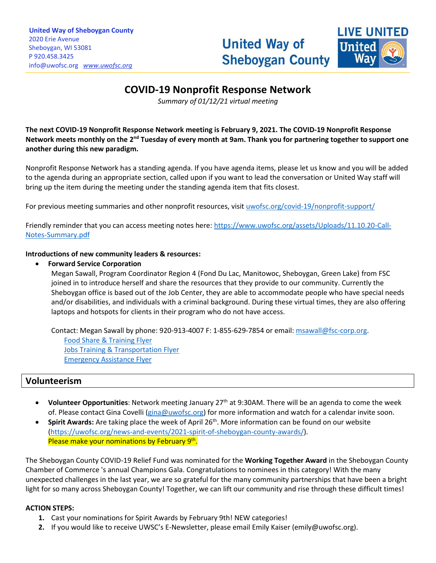

# **COVID-19 Nonprofit Response Network**

\_\_\_\_\_\_\_\_\_\_\_\_\_\_\_\_\_\_\_\_\_\_\_\_\_\_\_\_\_\_\_\_\_\_\_\_\_\_\_\_\_\_\_\_\_\_\_\_\_\_\_\_\_\_\_\_\_\_\_\_\_\_\_\_\_\_\_\_\_\_\_\_\_\_\_\_\_\_\_\_\_\_\_\_\_\_\_\_\_\_\_\_\_\_\_\_\_\_\_\_\_\_\_\_\_\_\_\_\_\_\_\_\_\_\_\_\_\_\_\_\_\_\_\_\_\_\_\_\_\_\_\_\_\_\_\_\_\_\_\_\_\_\_\_\_\_\_\_\_\_\_\_\_\_\_\_\_\_\_\_\_\_\_\_\_\_\_\_\_\_\_\_\_\_\_\_\_\_\_\_\_\_\_\_\_\_\_\_\_\_\_\_\_\_\_\_\_\_\_\_\_\_\_\_\_\_\_\_\_\_\_\_\_\_\_\_\_\_\_\_\_\_\_\_\_\_\_\_\_\_\_\_\_\_\_\_\_\_\_\_\_\_\_\_\_\_\_\_\_\_\_\_\_\_\_\_\_\_\_\_\_\_\_\_\_\_\_\_\_\_\_

*Summary of 01/12/21 virtual meeting*

**The next COVID-19 Nonprofit Response Network meeting is February 9, 2021. The COVID-19 Nonprofit Response**  Network meets monthly on the 2<sup>nd</sup> Tuesday of every month at 9am. Thank you for partnering together to support one **another during this new paradigm.**

Nonprofit Response Network has a standing agenda. If you have agenda items, please let us know and you will be added to the agenda during an appropriate section, called upon if you want to lead the conversation or United Way staff will bring up the item during the meeting under the standing agenda item that fits closest.

For previous meeting summaries and other nonprofit resources, visit [uwofsc.org/covid-19/nonprofit-support/](http://www.uwofsc.org/covid-19/nonprofit-support/)

Friendly reminder that you can access meeting notes here[: https://www.uwofsc.org/assets/Uploads/11.10.20-Call-](https://www.uwofsc.org/assets/Uploads/11.10.20-Call-Notes-Summary.pdf)[Notes-Summary.pdf](https://www.uwofsc.org/assets/Uploads/11.10.20-Call-Notes-Summary.pdf)

#### **Introductions of new community leaders & resources:**

• **Forward Service Corporation**

Megan Sawall, Program Coordinator Region 4 (Fond Du Lac, Manitowoc, Sheboygan, Green Lake) from FSC joined in to introduce herself and share the resources that they provide to our community. Currently the Sheboygan office is based out of the Job Center, they are able to accommodate people who have special needs and/or disabilities, and individuals with a criminal background. During these virtual times, they are also offering laptops and hotspots for clients in their program who do not have access.

Contact: Megan Sawall by phone: 920-913-4007 F: 1-855-629-7854 or email[: msawall@fsc-corp.org.](mailto:msawall@fsc-corp.org) [Food Share & Training](Food%20Share%20&%20Training%20Program.jpg) Flyer [Jobs Training & Transportation Flyer](Job%20Access%20&%20Transportation%20Assistance%20Program.JPG) [Emergency Assistance Flyer](Emergency%20Assistance.JPG)

## **Volunteerism**

- **Volunteer Opportunities**: Network meeting January 27th at 9:30AM. There will be an agenda to come the week of. Please contact Gina Covelli [\(gina@uwofsc.org\)](mailto:gina@uwofsc.org) for more information and watch for a calendar invite soon.
- Spirit Awards: Are taking place the week of April 26<sup>th</sup>. More information can be found on our website [\(https://uwofsc.org/news-and-events/2021-spirit-of-sheboygan-county-awards/\)](https://uwofsc.org/news-and-events/2021-spirit-of-sheboygan-county-awards/). Please make your nominations by February 9<sup>th</sup>.

The Sheboygan County COVID-19 Relief Fund was nominated for the **Working Together Award** in the Sheboygan County Chamber of Commerce 's annual Champions Gala. Congratulations to nominees in this category! With the many unexpected challenges in the last year, we are so grateful for the many community partnerships that have been a bright light for so many across Sheboygan County! Together, we can lift our community and rise through these difficult times!

## **ACTION STEPS:**

- **1.** Cast your nominations for Spirit Awards by February 9th! NEW categories!
- **2.** If you would like to receive UWSC's E-Newsletter, please email Emily Kaiser (emily@uwofsc.org).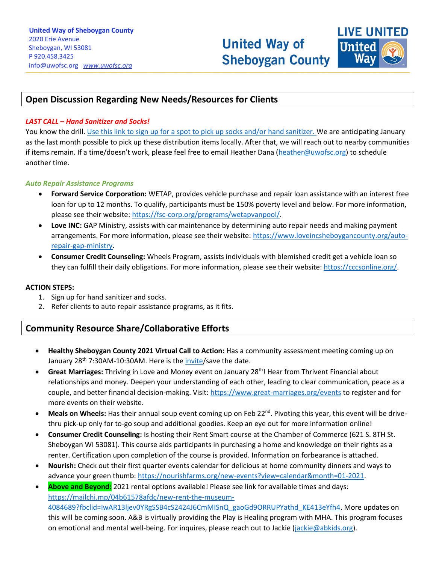

# **Open Discussion Regarding New Needs/Resources for Clients**

#### *LAST CALL – Hand Sanitizer and Socks!*

You know the drill. [Use this link to sign up for a spot to pick up socks and/or hand sanitizer. W](https://www.signupgenius.com/go/10c0d4eaea62da2f9c43-sock)e are anticipating January as the last month possible to pick up these distribution items locally. After that, we will reach out to nearby communities if items remain. If a time/doesn't work, please feel free to email Heather Dana [\(heather@uwofsc.org\)](mailto:heather@uwofsc.org) to schedule another time.

\_\_\_\_\_\_\_\_\_\_\_\_\_\_\_\_\_\_\_\_\_\_\_\_\_\_\_\_\_\_\_\_\_\_\_\_\_\_\_\_\_\_\_\_\_\_\_\_\_\_\_\_\_\_\_\_\_\_\_\_\_\_\_\_\_\_\_\_\_\_\_\_\_\_\_\_\_\_\_\_\_\_\_\_\_\_\_\_\_\_\_\_\_\_\_\_\_\_\_\_\_\_\_\_\_\_\_\_\_\_\_\_\_\_\_\_\_\_\_\_\_\_\_\_\_\_\_\_\_\_\_\_\_\_\_\_\_\_\_\_\_\_\_\_\_\_\_\_\_\_\_\_\_\_\_\_\_\_\_\_\_\_\_\_\_\_\_\_\_\_\_\_\_\_\_\_\_\_\_\_\_\_\_\_\_\_\_\_\_\_\_\_\_\_\_\_\_\_\_\_\_\_\_\_\_\_\_\_\_\_\_\_\_\_\_\_\_\_\_\_\_\_\_\_\_\_\_\_\_\_\_\_\_\_\_\_\_\_\_\_\_\_\_\_\_\_\_\_\_\_\_\_\_\_\_\_\_\_\_\_\_\_\_\_\_\_\_\_\_\_\_

#### *Auto Repair Assistance Programs*

- **Forward Service Corporation:** WETAP, provides vehicle purchase and repair loan assistance with an interest free loan for up to 12 months. To qualify, participants must be 150% poverty level and below. For more information, please see their website: [https://fsc-corp.org/programs/wetapvanpool/.](https://fsc-corp.org/programs/wetapvanpool/)
- **Love INC:** GAP Ministry, assists with car maintenance by determining auto repair needs and making payment arrangements. For more information, please see their website: [https://www.loveincsheboygancounty.org/auto](https://www.loveincsheboygancounty.org/auto-repair-gap-ministry)[repair-gap-ministry.](https://www.loveincsheboygancounty.org/auto-repair-gap-ministry)
- **Consumer Credit Counseling:** Wheels Program, assists individuals with blemished credit get a vehicle loan so they can fulfill their daily obligations. For more information, please see their website: https://cccsonline.org/

#### **ACTION STEPS:**

- 1. Sign up for hand sanitizer and socks.
- 2. Refer clients to auto repair assistance programs, as it fits.

## **Community Resource Share/Collaborative Efforts**

- **Healthy Sheboygan County 2021 Virtual Call to Action:** Has a community assessment meeting coming up on January 28<sup>th</sup> 7:30AM-10:30AM. Here is the *invite*/save the date.
- **Great Marriages:** Thriving in Love and Money event on January 28<sup>th</sup>! Hear from Thrivent Financial about relationships and money. Deepen your understanding of each other, leading to clear communication, peace as a couple, and better financial decision-making. Visit[: https://www.great-marriages.org/events](https://www.great-marriages.org/events) to register and for more events on their website.
- Meals on Wheels: Has their annual soup event coming up on Feb 22<sup>nd</sup>. Pivoting this year, this event will be drivethru pick-up only for to-go soup and additional goodies. Keep an eye out for more information online!
- **Consumer Credit Counseling:** Is hosting their Rent Smart course at the Chamber of Commerce (621 S. 8TH St. Sheboygan WI 53081). This course aids participants in purchasing a home and knowledge on their rights as a renter. Certification upon completion of the course is provided. Information on forbearance is attached.
- **Nourish:** Check out their first quarter events calendar for delicious at home community dinners and ways to advance your green thumb[: https://nourishfarms.org/new-events?view=calendar&month=01-2021.](https://nourishfarms.org/new-events?view=calendar&month=01-2021)
- **Above and Beyond:** 2021 rental options available! Please see link for available times and days: [https://mailchi.mp/04b61578afdc/new-rent-the-museum-](https://mailchi.mp/04b61578afdc/new-rent-the-museum-4084689?fbclid=IwAR13ljev0YRgSSB4cS2424J6CmMISnQ_gaoGd9ORRUPYathd_KE413eYfh4)[4084689?fbclid=IwAR13ljev0YRgSSB4cS2424J6CmMISnQ\\_gaoGd9ORRUPYathd\\_KE413eYfh4.](https://mailchi.mp/04b61578afdc/new-rent-the-museum-4084689?fbclid=IwAR13ljev0YRgSSB4cS2424J6CmMISnQ_gaoGd9ORRUPYathd_KE413eYfh4) More updates on this will be coming soon. A&B is virtually providing the Play is Healing program with MHA. This program focuses on emotional and mental well-being. For inquires, please reach out to Jackie [\(jackie@abkids.org\)](mailto:jackie@abkids.org).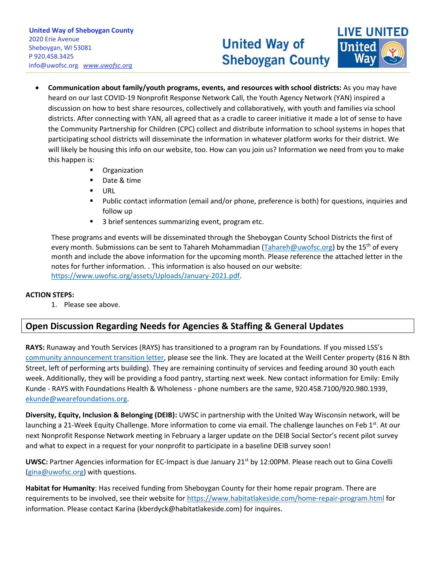# **United Way of Sheboygan County**



• **Communication about family/youth programs, events, and resources with school districts:** As you may have heard on our last COVID-19 Nonprofit Response Network Call, the Youth Agency Network (YAN) inspired a discussion on how to best share resources, collectively and collaboratively, with youth and families via school districts. After connecting with YAN, all agreed that as a cradle to career initiative it made a lot of sense to have the Community Partnership for Children (CPC) collect and distribute information to school systems in hopes that participating school districts will disseminate the information in whatever platform works for their district. We will likely be housing this info on our website, too. How can you join us? Information we need from you to make this happen is:

\_\_\_\_\_\_\_\_\_\_\_\_\_\_\_\_\_\_\_\_\_\_\_\_\_\_\_\_\_\_\_\_\_\_\_\_\_\_\_\_\_\_\_\_\_\_\_\_\_\_\_\_\_\_\_\_\_\_\_\_\_\_\_\_\_\_\_\_\_\_\_\_\_\_\_\_\_\_\_\_\_\_\_\_\_\_\_\_\_\_\_\_\_\_\_\_\_\_\_\_\_\_\_\_\_\_\_\_\_\_\_\_\_\_\_\_\_\_\_\_\_\_\_\_\_\_\_\_\_\_\_\_\_\_\_\_\_\_\_\_\_\_\_\_\_\_\_\_\_\_\_\_\_\_\_\_\_\_\_\_\_\_\_\_\_\_\_\_\_\_\_\_\_\_\_\_\_\_\_\_\_\_\_\_\_\_\_\_\_\_\_\_\_\_\_\_\_\_\_\_\_\_\_\_\_\_\_\_\_\_\_\_\_\_\_\_\_\_\_\_\_\_\_\_\_\_\_\_\_\_\_\_\_\_\_\_\_\_\_\_\_\_\_\_\_\_\_\_\_\_\_\_\_\_\_\_\_\_\_\_\_\_\_\_\_\_\_\_\_\_\_

- Organization
- Date & time
- URL
- Public contact information (email and/or phone, preference is both) for questions, inquiries and follow up
- 3 brief sentences summarizing event, program etc.

These programs and events will be disseminated through the Sheboygan County School Districts the first of every month. Submissions can be sent to Tahareh Mohammadian [\(Tahareh@uwofsc.org\)](mailto:Tahareh@uwofsc.org) by the 15<sup>th</sup> of every month and include the above information for the upcoming month. Please reference the attached letter in the notes for further information. . This information is also housed on our website: [https://www.uwofsc.org/assets/Uploads/January-2021.pdf.](https://www.uwofsc.org/assets/Uploads/January-2021.pdf)

## **ACTION STEPS:**

1. Please see above.

# **Open Discussion Regarding Needs for Agencies & Staffing & General Updates**

**RAYS:** Runaway and Youth Services (RAYS) has transitioned to a program ran by Foundations. If you missed LSS's [community announcement transition letter,](https://www.uwofsc.org/assets/Uploads/RAYS-Transition-Letter-2020.pdf) please see the link. They are located at the Weill Center property (816 N 8th Street, left of performing arts building). They are remaining continuity of services and feeding around 30 youth each week. Additionally, they will be providing a food pantry, starting next week. New contact information for Emily: Emily Kunde - RAYS with Foundations Health & Wholeness - phone numbers are the same, 920.458.7100/920.980.1939, [ekunde@wearefoundations.org.](mailto:ekunde@wearefoundations.org)

**Diversity, Equity, Inclusion & Belonging (DEIB):** UWSC in partnership with the United Way Wisconsin network, will be launching a 21-Week Equity Challenge. More information to come via email. The challenge launches on Feb 1<sup>st</sup>. At our next Nonprofit Response Network meeting in February a larger update on the DEIB Social Sector's recent pilot survey and what to expect in a request for your nonprofit to participate in a baseline DEIB survey soon!

**UWSC:** Partner Agencies information for EC-Impact is due January 21<sup>st</sup> by 12:00PM. Please reach out to Gina Covelli [\(gina@uwofsc.org\)](mailto:gina@uwofsc.org) with questions.

**Habitat for Humanity**: Has received funding from Sheboygan County for their home repair program. There are requirements to be involved, see their website fo[r https://www.habitatlakeside.com/home-repair-program.html](https://www.habitatlakeside.com/home-repair-program.html) for information. Please contact Karina (kberdyck@habitatlakeside.com) for inquires.